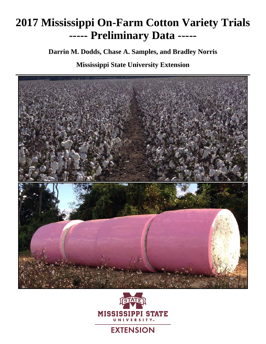# **2017 Mississippi On-Farm Cotton Variety Trials ----- Preliminary Data -----**

**Darrin M. Dodds, Chase A. Samples, and Bradley Norris**

**Mississippi State University Extension** 



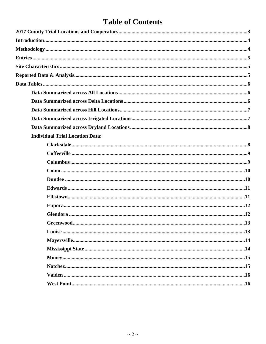# **Table of Contents**

| <b>Individual Trial Location Data:</b> |    |
|----------------------------------------|----|
|                                        |    |
|                                        |    |
|                                        |    |
|                                        |    |
|                                        |    |
|                                        |    |
|                                        |    |
|                                        |    |
|                                        |    |
| Greenwood                              | 13 |
|                                        |    |
|                                        |    |
|                                        |    |
|                                        |    |
|                                        |    |
|                                        |    |
|                                        |    |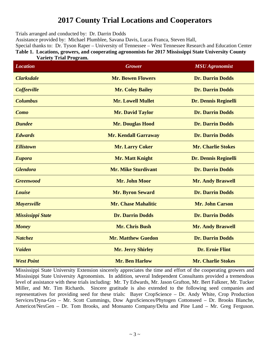# **2017 County Trial Locations and Cooperators**

Trials arranged and conducted by: Dr. Darrin Dodds

Assistance provided by: Michael Plumblee, Savana Davis, Lucas Franca, Steven Hall,

Special thanks to: Dr. Tyson Raper – University of Tennessee – West Tennessee Research and Education Center **Table 1. Locations, growers, and cooperating agronomists for 2017 Mississippi State University County Variety Trial Program.** 

| <b>Location</b>          | <b>Grower</b>               | <b>MSU Agronomist</b>       |
|--------------------------|-----------------------------|-----------------------------|
| <b>Clarksdale</b>        | <b>Mr. Bowen Flowers</b>    | <b>Dr. Darrin Dodds</b>     |
| Coffeeville              | <b>Mr. Coley Bailey</b>     | <b>Dr. Darrin Dodds</b>     |
| <b>Columbus</b>          | <b>Mr. Lowell Mullet</b>    | <b>Dr. Dennis Reginelli</b> |
| Como                     | <b>Mr. David Taylor</b>     | <b>Dr. Darrin Dodds</b>     |
| <b>Dundee</b>            | <b>Mr. Douglas Hood</b>     | <b>Dr. Darrin Dodds</b>     |
| <b>Edwards</b>           | <b>Mr. Kendall Garraway</b> | <b>Dr. Darrin Dodds</b>     |
| <b>Ellistown</b>         | <b>Mr. Larry Coker</b>      | <b>Mr. Charlie Stokes</b>   |
| <b>Eupora</b>            | <b>Mr. Matt Knight</b>      | <b>Dr. Dennis Reginelli</b> |
| <b>Glendora</b>          | <b>Mr. Mike Sturdivant</b>  | <b>Dr. Darrin Dodds</b>     |
| <b>Greenwood</b>         | Mr. John Moor               | <b>Mr. Andy Braswell</b>    |
| Louise                   | <b>Mr. Byron Seward</b>     | <b>Dr. Darrin Dodds</b>     |
| <b>Mayersville</b>       | <b>Mr. Chase Mahalitic</b>  | Mr. John Carson             |
| <b>Mississippi State</b> | <b>Dr. Darrin Dodds</b>     | <b>Dr. Darrin Dodds</b>     |
| <b>Money</b>             | <b>Mr. Chris Bush</b>       | <b>Mr. Andy Braswell</b>    |
| Natchez                  | <b>Mr. Matthew Guedon</b>   | <b>Dr. Darrin Dodds</b>     |
| <b>Vaiden</b>            | <b>Mr. Jerry Shirley</b>    | <b>Dr. Ernie Flint</b>      |
| <b>West Point</b>        | <b>Mr. Ben Harlow</b>       | <b>Mr. Charlie Stokes</b>   |

Mississippi State University Extension sincerely appreciates the time and effort of the cooperating growers and Mississippi State University Agronomists. In addition, several Independent Consultants provided a tremendous level of assistance with these trials including: Mr. Ty Edwards, Mr. Jason Grafton, Mr. Bert Falkner, Mr. Tucker Miller, and Mr. Tim Richards. Sincere gratitude is also extended to the following seed companies and representatives for providing seed for these trials: Bayer CropScience – Dr. Andy White, Crop Production Services/Dyna-Gro – Mr. Scott Cummings, Dow AgroSciences/Phytogen Cottonseed – Dr. Brooks Blanche, Americot/NexGen – Dr. Tom Brooks, and Monsanto Company/Delta and Pine Land – Mr. Greg Ferguson.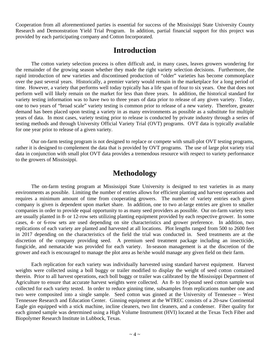Cooperation from all aforementioned parties is essential for success of the Mississippi State University County Research and Demonstration Yield Trial Program. In addition, partial financial support for this project was provided by each participating company and Cotton Incorporated.

### **Introduction**

 The cotton variety selection process is often difficult and, in many cases, leaves growers wondering for the remainder of the growing season whether they made the right variety selection decisions. Furthermore, the rapid introduction of new varieties and discontinued production of "older" varieties has become commonplace over the past several years. Historically, a premier variety would remain in the marketplace for a long period of time. However, a variety that performs well today typically has a life span of four to six years. One that does not perform well will likely remain on the market for less than three years. In addition, the historical standard for variety testing information was to have two to three years of data prior to release of any given variety. Today, one to two years of "broad scale" variety testing is common prior to release of a new variety. Therefore, greater demand has been placed upon testing a variety in as many environments as possible as a substitute for multiple years of data. In most cases, variety testing prior to release is conducted by private industry through a series of testing methods and through University Official Variety Trial (OVT) programs. OVT data is typically available for one year prior to release of a given variety.

 Our on-farm testing program is not designed to replace or compete with small-plot OVT testing programs, rather it is designed to complement the data that is provided by OVT programs. The use of large plot variety trial data in conjunction with small plot OVT data provides a tremendous resource with respect to variety performance to the growers of Mississippi.

### **Methodology**

The on-farm testing program at Mississippi State University is designed to test varieties in as many environments as possible. Limiting the number of entries allows for efficient planting and harvest operations and requires a minimum amount of time from cooperating growers. The number of variety entries each given company is given is dependent upon market share. In addition, one to two at-large entries are given to smaller companies in order to provide equal opportunity to as many seed providers as possible. Our on-farm variety tests are usually planted in 8- or 12-row sets utilizing planting equipment provided by each respective grower. In some cases, 4- or 6-row sets are used depending on site characteristics and grower preference. In addition, two replications of each variety are planted and harvested at all locations. Plot lengths ranged from 500 to 2600 feet in 2017 depending on the characteristics of the field the trial was conducted in. Seed treatments are at the discretion of the company providing seed. A premium seed treatment package including an insecticide, fungicide, and nematacide was provided for each variety. In-season management is at the discretion of the grower and each is encouraged to manage the plot area as he/she would manage any given field on their farm.

Each replication for each variety was individually harvested using standard harvest equipment. Harvest weights were collected using a boll buggy or trailer modified to display the weight of seed cotton contained therein. Prior to all harvest operations, each boll buggy or trailer was calibrated by the Mississippi Department of Agriculture to ensure that accurate harvest weights were collected. An 8- to 10-pound seed cotton sample was collected for each variety tested. In order to reduce ginning time, subsamples from replications number one and two were composited into a single sample. Seed cotton was ginned at the University of Tennessee – West Tennessee Research and Education Center. Ginning equipment at the WTREC consists of a 20-saw Continental Eagle gin equipped with a stick machine, incline cleaners, two lint cleaners, and a condenser. Fiber quality for each ginned sample was determined using a High Volume Instrument (HVI) located at the Texas Tech Fiber and Biopolymer Research Institute in Lubbock, Texas.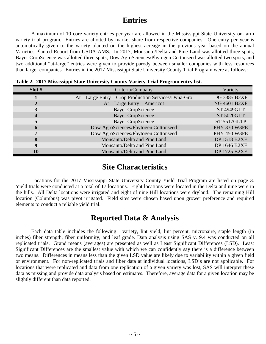# **Entries**

 A maximum of 10 core variety entries per year are allowed in the Mississippi State University on-farm variety trial program. Entries are allotted by market share from respective companies. One entry per year is automatically given to the variety planted on the highest acreage in the previous year based on the annual Varieties Planted Report from USDA-AMS. In 2017, Monsanto/Delta and Pine Land was allotted three spots; Bayer CropScience was allotted three spots; Dow AgroSciences/Phytogen Cottonseed was allotted two spots, and two additional "at-large" entries were given to provide parody between smaller companies with less resources than larger companies. Entries in the 2017 Mississippi State University County Trial Program were as follows:

| Slot# | Criteria/Company                                     | Variety             |
|-------|------------------------------------------------------|---------------------|
|       | At - Large Entry - Crop Production Services/Dyna-Gro | <b>DG 3385 B2XF</b> |
|       | $At - Large Entry - American$                        | <b>NG 4601 B2XF</b> |
|       | <b>Bayer CropScience</b>                             | <b>ST 4949GLT</b>   |
|       | <b>Bayer CropScience</b>                             | <b>ST 5020GLT</b>   |
|       | <b>Bayer CropScience</b>                             | ST 5517GLTP         |
|       | Dow AgroSciences/Phytogen Cottonseed                 | PHY 330 W3FE        |
|       | Dow AgroSciences/Phytogen Cottonseed                 | <b>PHY 450 W3FE</b> |
|       | Monsanto/Delta and Pine Land                         | <b>DP 1518 B2XF</b> |
|       | Monsanto/Delta and Pine Land                         | DP 1646 B2XF        |
| 10    | Monsanto/Delta and Pine Land                         | DP 1725 B2XF        |

**Table 2. 2017 Mississippi State University County Variety Trial Program entry list.** 

### **Site Characteristics**

 Locations for the 2017 Mississippi State University County Yield Trial Program are listed on page 3. Yield trials were conducted at a total of 17 locations. Eight locations were located in the Delta and nine were in the hills. All Delta locations were irrigated and eight of nine Hill locations were dryland. The remaining Hill location (Columbus) was pivot irrigated. Field sites were chosen based upon grower preference and required elements to conduct a reliable yield trial.

### **Reported Data & Analysis**

 Each data table includes the following: variety, lint yield, lint percent, micronaire, staple length (in inches) fiber strength, fiber uniformity, and leaf grade. Data analysis using SAS v. 9.4 was conducted on all replicated trials. Grand means (averages) are presented as well as Least Significant Differences (LSD). Least Significant Differences are the smallest value with which we can confidently say there is a difference between two means. Differences in means less than the given LSD value are likely due to variability within a given field or environment. For non-replicated trials and fiber data at individual locations, LSD's are not applicable. For locations that were replicated and data from one replication of a given variety was lost, SAS will interpret these data as missing and provide data analysis based on estimates. Therefore, average data for a given location may be slightly different than data reported.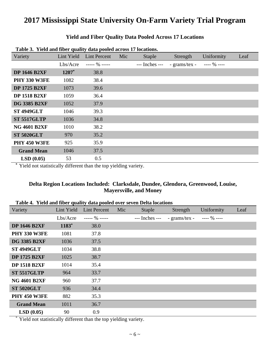#### **Yield and Fiber Quality Data Pooled Across 17 Locations**

| Table of Tick and note quality used pooled across 17 focations. |            |                     |     |                |               |              |      |
|-----------------------------------------------------------------|------------|---------------------|-----|----------------|---------------|--------------|------|
| Variety                                                         | Lint Yield | <b>Lint Percent</b> | Mic | <b>Staple</b>  | Strength      | Uniformity   | Leaf |
|                                                                 | Lbs/Acre   | $--- 90$ $---$      |     | --- Inches --- | - grams/tex - | $--- 96 ---$ |      |
| <b>DP 1646 B2XF</b>                                             | $1207*$    | 38.8                |     |                |               |              |      |
| <b>PHY 330 W3FE</b>                                             | 1082       | 38.4                |     |                |               |              |      |
| <b>DP 1725 B2XF</b>                                             | 1073       | 39.6                |     |                |               |              |      |
| <b>DP 1518 B2XF</b>                                             | 1059       | 36.4                |     |                |               |              |      |
| <b>DG 3385 B2XF</b>                                             | 1052       | 37.9                |     |                |               |              |      |
| <b>ST 4949GLT</b>                                               | 1046       | 39.3                |     |                |               |              |      |
| <b>ST 5517GLTP</b>                                              | 1036       | 34.8                |     |                |               |              |      |
| <b>NG 4601 B2XF</b>                                             | 1010       | 38.2                |     |                |               |              |      |
| <b>ST 5020GLT</b>                                               | 970        | 35.2                |     |                |               |              |      |
| <b>PHY 450 W3FE</b>                                             | 925        | 35.9                |     |                |               |              |      |
| <b>Grand Mean</b>                                               | 1046       | 37.5                |     |                |               |              |      |
| LSD(0.05)                                                       | 53         | 0.5                 |     |                |               |              |      |

**Table 3. Yield and fiber quality data pooled across 17 locations.** 

**\*** Yield not statistically different than the top yielding variety.

#### **Delta Region Locations Included: Clarksdale, Dundee, Glendora, Greenwood, Louise, Mayersville, and Money**

#### **Table 4. Yield and fiber quality data pooled over seven Delta locations**

| Variety             | Lint Yield | <b>Lint Percent</b> | Mic | <b>Staple</b>  | Strength      | Uniformity   | Leaf |
|---------------------|------------|---------------------|-----|----------------|---------------|--------------|------|
|                     | Lbs/Acre   | $--- 90$ -----      |     | --- Inches --- | - grams/tex - | $--- 96 ---$ |      |
| <b>DP 1646 B2XF</b> | $1183*$    | 38.0                |     |                |               |              |      |
| <b>PHY 330 W3FE</b> | 1081       | 37.8                |     |                |               |              |      |
| <b>DG 3385 B2XF</b> | 1036       | 37.5                |     |                |               |              |      |
| <b>ST 4949GLT</b>   | 1034       | 38.8                |     |                |               |              |      |
| <b>DP 1725 B2XF</b> | 1025       | 38.7                |     |                |               |              |      |
| <b>DP 1518 B2XF</b> | 1014       | 35.4                |     |                |               |              |      |
| <b>ST 5517GLTP</b>  | 964        | 33.7                |     |                |               |              |      |
| <b>NG 4601 B2XF</b> | 960        | 37.7                |     |                |               |              |      |
| <b>ST 5020GLT</b>   | 936        | 34.4                |     |                |               |              |      |
| <b>PHY 450 W3FE</b> | 882        | 35.3                |     |                |               |              |      |
| <b>Grand Mean</b>   | 1011       | 36.7                |     |                |               |              |      |
| LSD(0.05)           | 90         | 0.9                 |     |                |               |              |      |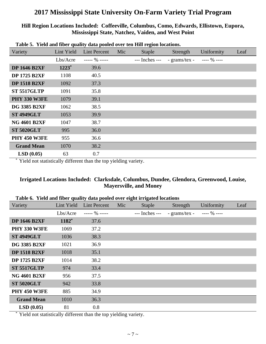#### **Hill Region Locations Included: Coffeeville, Columbus, Como, Edwards, Ellistown, Eupora, Mississippi State, Natchez, Vaiden, and West Point**

| таріс эт тісім ана прет даангу аана робіса отег існ тіні гедіон юсаноню |            |                     |     |                |               |              |      |
|-------------------------------------------------------------------------|------------|---------------------|-----|----------------|---------------|--------------|------|
| Variety                                                                 | Lint Yield | <b>Lint Percent</b> | Mic | Staple         | Strength      | Uniformity   | Leaf |
|                                                                         | Lbs/Acre   | $--- 90$ $---$      |     | --- Inches --- | - grams/tex - | $--- 96 ---$ |      |
| <b>DP 1646 B2XF</b>                                                     | $1223*$    | 39.6                |     |                |               |              |      |
| <b>DP 1725 B2XF</b>                                                     | 1108       | 40.5                |     |                |               |              |      |
| <b>DP 1518 B2XF</b>                                                     | 1092       | 37.3                |     |                |               |              |      |
| <b>ST 5517GLTP</b>                                                      | 1091       | 35.8                |     |                |               |              |      |
| <b>PHY 330 W3FE</b>                                                     | 1079       | 39.1                |     |                |               |              |      |
| <b>DG 3385 B2XF</b>                                                     | 1062       | 38.5                |     |                |               |              |      |
| <b>ST 4949GLT</b>                                                       | 1053       | 39.9                |     |                |               |              |      |
| <b>NG 4601 B2XF</b>                                                     | 1047       | 38.7                |     |                |               |              |      |
| <b>ST 5020GLT</b>                                                       | 995        | 36.0                |     |                |               |              |      |
| <b>PHY 450 W3FE</b>                                                     | 955        | 36.6                |     |                |               |              |      |
| <b>Grand Mean</b>                                                       | 1070       | 38.2                |     |                |               |              |      |
| LSD(0.05)                                                               | 63         | 0.7                 |     |                |               |              |      |

**Table 5. Yield and fiber quality data pooled over ten Hill region locations.**

Yield not statistically different than the top yielding variety.

#### **Irrigated Locations Included: Clarksdale, Columbus, Dundee, Glendora, Greenwood, Louise, Mayersville, and Money**

| Variety             | Lint Yield | <b>Lint Percent</b> | Mic | Staple         | Strength      | Uniformity   | Leaf |
|---------------------|------------|---------------------|-----|----------------|---------------|--------------|------|
|                     | Lbs/Acre   | $--- 96 ---$        |     | --- Inches --- | - grams/tex - | $--- 96 ---$ |      |
| <b>DP 1646 B2XF</b> | 1182*      | 37.6                |     |                |               |              |      |
| <b>PHY 330 W3FE</b> | 1069       | 37.2                |     |                |               |              |      |
| <b>ST 4949GLT</b>   | 1036       | 38.3                |     |                |               |              |      |
| <b>DG 3385 B2XF</b> | 1021       | 36.9                |     |                |               |              |      |
| <b>DP 1518 B2XF</b> | 1018       | 35.1                |     |                |               |              |      |
| <b>DP 1725 B2XF</b> | 1014       | 38.2                |     |                |               |              |      |
| <b>ST 5517GLTP</b>  | 974        | 33.4                |     |                |               |              |      |
| <b>NG 4601 B2XF</b> | 956        | 37.5                |     |                |               |              |      |
| <b>ST 5020GLT</b>   | 942        | 33.8                |     |                |               |              |      |
| <b>PHY 450 W3FE</b> | 885        | 34.9                |     |                |               |              |      |
| <b>Grand Mean</b>   | 1010       | 36.3                |     |                |               |              |      |
| LSD(0.05)           | 81         | 0.8                 |     |                |               |              |      |

| Table 6. Yield and fiber quality data pooled over eight irrigated locations |  |  |  |
|-----------------------------------------------------------------------------|--|--|--|
|                                                                             |  |  |  |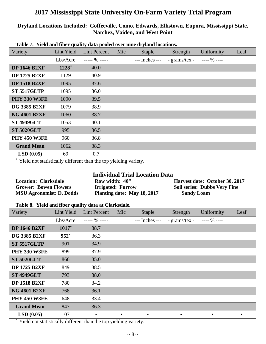#### **Dryland Locations Included: Coffeeville, Como, Edwards, Ellistown, Eupora, Mississippi State, Natchez, Vaiden, and West Point**

| Variety             | Lint Yield | <b>Lint Percent</b> | Mic | <b>Staple</b>  | Strength                           | Uniformity | Leaf |
|---------------------|------------|---------------------|-----|----------------|------------------------------------|------------|------|
|                     | Lbs/Acre   | ----- $\%$ -----    |     | --- Inches --- | - grams/tex - $\qquad$ ---- % ---- |            |      |
| <b>DP 1646 B2XF</b> | $1228^*$   | 40.0                |     |                |                                    |            |      |
| <b>DP 1725 B2XF</b> | 1129       | 40.9                |     |                |                                    |            |      |
| <b>DP 1518 B2XF</b> | 1095       | 37.6                |     |                |                                    |            |      |
| <b>ST 5517GLTP</b>  | 1095       | 36.0                |     |                |                                    |            |      |
| <b>PHY 330 W3FE</b> | 1090       | 39.5                |     |                |                                    |            |      |
| <b>DG 3385 B2XF</b> | 1079       | 38.9                |     |                |                                    |            |      |
| <b>NG 4601 B2XF</b> | 1060       | 38.7                |     |                |                                    |            |      |
| <b>ST 4949GLT</b>   | 1053       | 40.1                |     |                |                                    |            |      |
| <b>ST 5020GLT</b>   | 995        | 36.5                |     |                |                                    |            |      |
| <b>PHY 450 W3FE</b> | 960        | 36.8                |     |                |                                    |            |      |
| <b>Grand Mean</b>   | 1062       | 38.3                |     |                |                                    |            |      |
| LSD(0.05)           | 69         | 0.7                 |     |                |                                    |            |      |

#### **Table 7. Yield and fiber quality data pooled over nine dryland locations.**

Yield not statistically different than the top yielding variety.

#### **Individual Trial Location Data**

| <b>Location: Clarksdale</b>     | Row width: 40"              | Harvest date: October 30, 2017      |
|---------------------------------|-----------------------------|-------------------------------------|
| <b>Grower: Bowen Flowers</b>    | <b>Irrigated: Furrow</b>    | <b>Soil series: Dubbs Very Fine</b> |
| <b>MSU Agronomist: D. Dodds</b> | Planting date: May 18, 2017 | <b>Sandy Loam</b>                   |

#### **Table 8. Yield and fiber quality data at Clarksdale.**

| Variety             | Lint Yield | <b>Lint Percent</b> | Mic       | <b>Staple</b>  | Strength      | Uniformity   | Leaf      |
|---------------------|------------|---------------------|-----------|----------------|---------------|--------------|-----------|
|                     | Lbs/Acre   | $--- 90$ $---$      |           | --- Inches --- | - grams/tex - | $--- 96 ---$ |           |
| <b>DP 1646 B2XF</b> | $1017*$    | 38.7                |           |                |               |              |           |
| <b>DG 3385 B2XF</b> | $952*$     | 36.3                |           |                |               |              |           |
| <b>ST 5517GLTP</b>  | 901        | 34.9                |           |                |               |              |           |
| <b>PHY 330 W3FE</b> | 899        | 37.9                |           |                |               |              |           |
| <b>ST 5020GLT</b>   | 866        | 35.0                |           |                |               |              |           |
| <b>DP 1725 B2XF</b> | 849        | 38.5                |           |                |               |              |           |
| <b>ST 4949GLT</b>   | 793        | 38.0                |           |                |               |              |           |
| <b>DP 1518 B2XF</b> | 780        | 34.2                |           |                |               |              |           |
| <b>NG 4601 B2XF</b> | 768        | 36.1                |           |                |               |              |           |
| <b>PHY 450 W3FE</b> | 648        | 33.4                |           |                |               |              |           |
| <b>Grand Mean</b>   | 847        | 36.3                |           |                |               |              |           |
| LSD(0.05)           | 107        | $\bullet$           | $\bullet$ | $\bullet$      | $\bullet$     | $\bullet$    | $\bullet$ |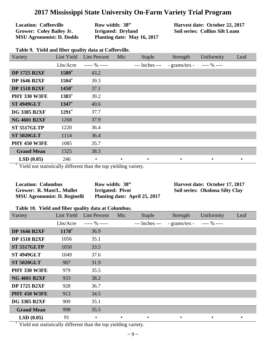| <b>Location: Coffeeville</b>    | Row width: 38"              | $\rm Hz$ |
|---------------------------------|-----------------------------|----------|
| <b>Grower: Coley Bailey Jr.</b> | Irrigated: Dryland          | So       |
| <b>MSU Agronomist: D. Dodds</b> | Planting date: May 16, 2017 |          |

**Harvest date: October 22, 2017 Soil series: Collins Silt Loam**

| Variety             | Lint Yield | <b>Lint Percent</b> | Mic       | <b>Staple</b>  | Strength      | Uniformity   | Leaf |
|---------------------|------------|---------------------|-----------|----------------|---------------|--------------|------|
|                     | Lbs/Arcre  | ----- $\%$ -----    |           | --- Inches --- | - grams/tex - | $--- 96 ---$ |      |
| <b>DP 1725 B2XF</b> | 1589*      | 43.2                |           |                |               |              |      |
| <b>DP 1646 B2XF</b> | 1504*      | 39.3                |           |                |               |              |      |
| <b>DP 1518 B2XF</b> | $1450*$    | 37.1                |           |                |               |              |      |
| <b>PHY 330 W3FE</b> | 1383*      | 39.2                |           |                |               |              |      |
| <b>ST 4949GLT</b>   | 1347*      | 40.6                |           |                |               |              |      |
| <b>DG 3385 B2XF</b> | 1291*      | 37.7                |           |                |               |              |      |
| <b>NG 4601 B2XF</b> | 1268       | 37.9                |           |                |               |              |      |
| <b>ST 5517GLTP</b>  | 1220       | 36.4                |           |                |               |              |      |
| <b>ST 5020GLT</b>   | 1114       | 36.4                |           |                |               |              |      |
| <b>PHY 450 W3FE</b> | 1085       | 35.7                |           |                |               |              |      |
| <b>Grand Mean</b>   | 1325       | 38.3                |           |                |               |              |      |
| LSD(0.05)           | 246        | $\bullet$           | $\bullet$ | $\bullet$      |               | $\bullet$    |      |

**Table 9. Yield and fiber quality data at Coffeeville.**

Yield not statistically different than the top yielding variety.

| <b>Location: Columbus</b>           | Row width: 38"                | Harvest date: October 17, 2017  |
|-------------------------------------|-------------------------------|---------------------------------|
| Grower: R. Mast/L. Mullet           | Irrigated: Pivot              | Soil series: Okolona Silty Clay |
| <b>MSU Agronomist: D. Reginelli</b> | Planting date: April 25, 2017 |                                 |

#### **Table 10. Yield and fiber quality data at Columbus.**

| Variety             | Lint Yield | <b>Lint Percent</b> | Mic | <b>Staple</b>  | Strength      | Uniformity   | Leaf      |
|---------------------|------------|---------------------|-----|----------------|---------------|--------------|-----------|
|                     | Lbs/Acre   | $--- 96 ---$        |     | --- Inches --- | - grams/tex - | $--- 96 ---$ |           |
| <b>DP 1646 B2XF</b> | 1178*      | 36.9                |     |                |               |              |           |
| <b>DP 1518 B2XF</b> | 1056       | 35.1                |     |                |               |              |           |
| <b>ST 5517GLTP</b>  | 1050       | 33.5                |     |                |               |              |           |
| <b>ST 4949GLT</b>   | 1049       | 37.6                |     |                |               |              |           |
| <b>ST 5020GLT</b>   | 987        | 31.9                |     |                |               |              |           |
| <b>PHY 330 W3FE</b> | 979        | 35.5                |     |                |               |              |           |
| <b>NG 4601 B2XF</b> | 933        | 38.2                |     |                |               |              |           |
| <b>DP 1725 B2XF</b> | 928        | 36.7                |     |                |               |              |           |
| <b>PHY 450 W3FE</b> | 913        | 34.5                |     |                |               |              |           |
| <b>DG 3385 B2XF</b> | 909        | 35.1                |     |                |               |              |           |
| <b>Grand Mean</b>   | 998        | 35.5                |     |                |               |              |           |
| LSD(0.05)           | 91         | $\bullet$           |     |                | $\bullet$     | $\bullet$    | $\bullet$ |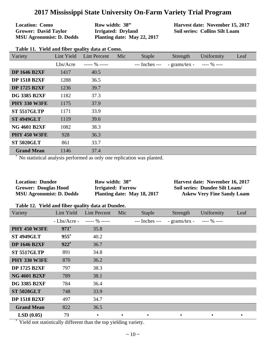| <b>Location: Como</b>           | Row width: 38"              | Harvest date: November 15, 2017       |
|---------------------------------|-----------------------------|---------------------------------------|
| <b>Grower: David Taylor</b>     | Irrigated: Dryland          | <b>Soil series: Collins Silt Loam</b> |
| <b>MSU Agronomist: D. Dodds</b> | Planting date: May 22, 2017 |                                       |

| Variety             | Lint Yield | Lint Percent     | Mic | Staple             | Strength                      | Uniformity | Leaf |
|---------------------|------------|------------------|-----|--------------------|-------------------------------|------------|------|
|                     | Lbs/Acre   | ----- $\%$ ----- |     | $---$ Inches $---$ | - grams/tex - $\cdots$ % ---- |            |      |
| <b>DP 1646 B2XF</b> | 1417       | 40.5             |     |                    |                               |            |      |
| <b>DP 1518 B2XF</b> | 1288       | 36.5             |     |                    |                               |            |      |
| <b>DP 1725 B2XF</b> | 1236       | 39.7             |     |                    |                               |            |      |
| <b>DG 3385 B2XF</b> | 1182       | 37.3             |     |                    |                               |            |      |
| <b>PHY 330 W3FE</b> | 1175       | 37.9             |     |                    |                               |            |      |
| <b>ST 5517GLTP</b>  | 1171       | 33.9             |     |                    |                               |            |      |
| <b>ST 4949GLT</b>   | 1119       | 39.6             |     |                    |                               |            |      |
| <b>NG 4601 B2XF</b> | 1082       | 38.3             |     |                    |                               |            |      |
| <b>PHY 450 W3FE</b> | 928        | 36.3             |     |                    |                               |            |      |
| <b>ST 5020GLT</b>   | 861        | 33.7             |     |                    |                               |            |      |
| <b>Grand Mean</b>   | 1146       | 37.4             |     |                    |                               |            |      |

No statistical analysis performed as only one replication was planted.

| <b>Location: Dundee</b>         | Row width: 38"              | Harvest date: November 16, 2017   |
|---------------------------------|-----------------------------|-----------------------------------|
| <b>Grower: Douglas Hood</b>     | <b>Irrigated: Furrow</b>    | Soil series: Dundee Silt Loam/    |
| <b>MSU Agronomist: D. Dodds</b> | Planting date: May 18, 2017 | <b>Askew Very Fine Sandy Loam</b> |

#### **Table 12. Yield and fiber quality data at Dundee.**

| Variety             | Lint Yield    | <b>Lint Percent</b> | Mic       | <b>Staple</b>  | Strength      | Uniformity   | Leaf |
|---------------------|---------------|---------------------|-----------|----------------|---------------|--------------|------|
|                     | $-Lbs/Arcre-$ | $--- 96 ---$        |           | --- Inches --- | - grams/tex - | $--- 96 ---$ |      |
| <b>PHY 450 W3FE</b> | $971*$        | 35.8                |           |                |               |              |      |
| <b>ST 4949GLT</b>   | $955*$        | 40.2                |           |                |               |              |      |
| <b>DP 1646 B2XF</b> | $922*$        | 36.7                |           |                |               |              |      |
| <b>ST 5517GLTP</b>  | 891           | 34.8                |           |                |               |              |      |
| <b>PHY 330 W3FE</b> | 870           | 36.2                |           |                |               |              |      |
| <b>DP 1725 B2XF</b> | 797           | 38.3                |           |                |               |              |      |
| <b>NG 4601 B2XF</b> | 789           | 38.1                |           |                |               |              |      |
| <b>DG 3385 B2XF</b> | 784           | 36.4                |           |                |               |              |      |
| <b>ST 5020GLT</b>   | 748           | 33.9                |           |                |               |              |      |
| <b>DP 1518 B2XF</b> | 497           | 34.7                |           |                |               |              |      |
| <b>Grand Mean</b>   | 822           | 36.5                |           |                |               |              |      |
| LSD(0.05)           | 79            | $\bullet$           | $\bullet$ | ٠              | ٠             | $\bullet$    |      |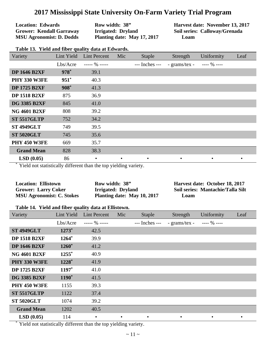| <b>Location: Edwards</b>        |
|---------------------------------|
| <b>Grower: Kendall Garraway</b> |
| <b>MSU Agronomist: D. Dodds</b> |

**Row width: 38" Irrigated: Dryland Planting date: May 17, 2017**  **Harvest date: November 13, 2017 Soil series: Calloway/Grenada Loam**

| Variety             | Lint Yield | <b>Lint Percent</b> | Mic       | <b>Staple</b>  | Strength      | Uniformity   | Leaf |
|---------------------|------------|---------------------|-----------|----------------|---------------|--------------|------|
|                     | Lbs/Acre   | $--- 90$ -----      |           | --- Inches --- | - grams/tex - | $--- 96 ---$ |      |
| <b>DP 1646 B2XF</b> | $978*$     | 39.1                |           |                |               |              |      |
| <b>PHY 330 W3FE</b> | $951*$     | 40.3                |           |                |               |              |      |
| <b>DP 1725 B2XF</b> | $908*$     | 41.3                |           |                |               |              |      |
| <b>DP 1518 B2XF</b> | 875        | 36.9                |           |                |               |              |      |
| <b>DG 3385 B2XF</b> | 845        | 41.0                |           |                |               |              |      |
| <b>NG 4601 B2XF</b> | 808        | 39.2                |           |                |               |              |      |
| <b>ST 5517GLTP</b>  | 752        | 34.2                |           |                |               |              |      |
| <b>ST 4949GLT</b>   | 749        | 39.5                |           |                |               |              |      |
| <b>ST 5020GLT</b>   | 745        | 35.6                |           |                |               |              |      |
| <b>PHY 450 W3FE</b> | 669        | 35.7                |           |                |               |              |      |
| <b>Grand Mean</b>   | 828        | 38.3                |           |                |               |              |      |
| LSD(0.05)           | 86         | $\bullet$           | $\bullet$ | $\bullet$      | $\bullet$     | $\bullet$    |      |

Yield not statistically different than the top yielding variety.

| <b>Location: Ellistown</b>       | Row width: 38"              | Harvest date: October 18, 2017    |
|----------------------------------|-----------------------------|-----------------------------------|
| <b>Grower: Larry Coker</b>       | Irrigated: Dryland          | Soil series: Mantachie/Talla Silt |
| <b>MSU Agronomist: C. Stokes</b> | Planting date: May 10, 2017 | Loam                              |

#### **Table 14. Yield and fiber quality data at Ellistown.**

| Variety             | Lint Yield | <b>Lint Percent</b> | Mic | Staple         | Strength      | Uniformity   | Leaf |
|---------------------|------------|---------------------|-----|----------------|---------------|--------------|------|
|                     | Lbs/Acre   | ----- $\%$ -----    |     | --- Inches --- | - grams/tex - | $--- 96 ---$ |      |
| <b>ST 4949GLT</b>   | $1273*$    | 42.5                |     |                |               |              |      |
| <b>DP 1518 B2XF</b> | 1264*      | 39.9                |     |                |               |              |      |
| <b>DP 1646 B2XF</b> | $1260*$    | 41.2                |     |                |               |              |      |
| <b>NG 4601 B2XF</b> | $1255*$    | 40.9                |     |                |               |              |      |
| <b>PHY 330 W3FE</b> | 1228*      | 41.9                |     |                |               |              |      |
| <b>DP 1725 B2XF</b> | $1197*$    | 41.0                |     |                |               |              |      |
| <b>DG 3385 B2XF</b> | 1190*      | 41.5                |     |                |               |              |      |
| <b>PHY 450 W3FE</b> | 1155       | 39.3                |     |                |               |              |      |
| <b>ST 5517GLTP</b>  | 1122       | 37.4                |     |                |               |              |      |
| <b>ST 5020GLT</b>   | 1074       | 39.2                |     |                |               |              |      |
| <b>Grand Mean</b>   | 1202       | 40.5                |     |                |               |              |      |
| LSD(0.05)           | 114        | $\bullet$           |     |                | $\bullet$     | $\bullet$    |      |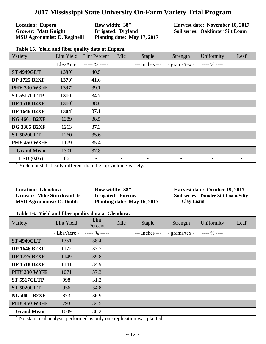**Location: Eupora Grower: Matt Knight MSU Agronomist: D. Reginelli**  **Row width: 38" Irrigated: Dryland Planting date: May 17, 2017**  **Harvest date: November 10, 2017 Soil series: Oaklimter Silt Loam**

|  | Table 15. Yield and fiber quality data at Eupora. |  |  |  |  |  |  |
|--|---------------------------------------------------|--|--|--|--|--|--|
|--|---------------------------------------------------|--|--|--|--|--|--|

| Variety             | Lint Yield        | <b>Lint Percent</b> | Mic | Staple         | Strength      | Uniformity     | Leaf      |
|---------------------|-------------------|---------------------|-----|----------------|---------------|----------------|-----------|
|                     | Lbs/Acre          | $--- 96 ---$        |     | --- Inches --- | - grams/tex - | ---- $\%$ ---- |           |
| <b>ST 4949GLT</b>   | 1390 <sup>*</sup> | 40.5                |     |                |               |                |           |
| <b>DP 1725 B2XF</b> | $1370*$           | 41.6                |     |                |               |                |           |
| <b>PHY 330 W3FE</b> | $1337*$           | 39.1                |     |                |               |                |           |
| <b>ST 5517GLTP</b>  | $1310^*$          | 34.7                |     |                |               |                |           |
| <b>DP 1518 B2XF</b> | $1310*$           | 38.6                |     |                |               |                |           |
| <b>DP 1646 B2XF</b> | 1304*             | 37.1                |     |                |               |                |           |
| <b>NG 4601 B2XF</b> | 1289              | 38.5                |     |                |               |                |           |
| <b>DG 3385 B2XF</b> | 1263              | 37.3                |     |                |               |                |           |
| <b>ST 5020GLT</b>   | 1260              | 35.6                |     |                |               |                |           |
| <b>PHY 450 W3FE</b> | 1179              | 35.4                |     |                |               |                |           |
| <b>Grand Mean</b>   | 1301              | 37.8                |     |                |               |                |           |
| LSD(0.05)           | 86                | $\bullet$           |     |                |               | $\bullet$      | $\bullet$ |

Yield not statistically different than the top yielding variety.

| <b>Location: Glendora</b>       | Row width: 38"              | Harvest date: October 19, 2017             |
|---------------------------------|-----------------------------|--------------------------------------------|
| Grower: Mike Sturdivant Jr.     | <b>Irrigated: Furrow</b>    | <b>Soil series: Dundee Silt Loam/Silty</b> |
| <b>MSU Agronomist: D. Dodds</b> | Planting date: May 16, 2017 | <b>Clay Loam</b>                           |

#### **Table 16. Yield and fiber quality data at Glendora.**

| Variety             | Lint Yield    | Lint<br>Percent | Mic | <b>Staple</b>  | Strength      | Uniformity   | Leaf |
|---------------------|---------------|-----------------|-----|----------------|---------------|--------------|------|
|                     | $-Lbs/Arcre-$ | $--- 90$ $---$  |     | --- Inches --- | - grams/tex - | $--- 96 ---$ |      |
| <b>ST 4949GLT</b>   | 1351          | 38.4            |     |                |               |              |      |
| <b>DP 1646 B2XF</b> | 1172          | 37.7            |     |                |               |              |      |
| <b>DP 1725 B2XF</b> | 1149          | 39.8            |     |                |               |              |      |
| <b>DP 1518 B2XF</b> | 1141          | 34.9            |     |                |               |              |      |
| <b>PHY 330 W3FE</b> | 1071          | 37.3            |     |                |               |              |      |
| <b>ST 5517GLTP</b>  | 998           | 31.2            |     |                |               |              |      |
| <b>ST 5020GLT</b>   | 956           | 34.8            |     |                |               |              |      |
| <b>NG 4601 B2XF</b> | 873           | 36.9            |     |                |               |              |      |
| <b>PHY 450 W3FE</b> | 793           | 34.5            |     |                |               |              |      |
| <b>Grand Mean</b>   | 1009          | 36.2            |     |                |               |              |      |

No statistical analysis performed as only one replication was planted.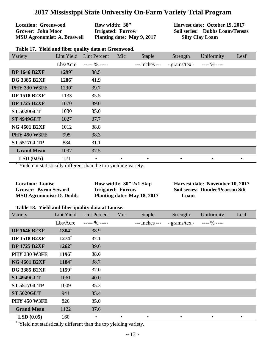**Location: Greenwood Grower: John Moor MSU Agronomist: A. Braswell**  **Row width: 38" Irrigated: Furrow Planting date: May 9, 2017**  **Harvest date: October 19, 2017 Soil series: Dubbs Loam/Tensas Silty Clay Loam**

| Table 17. Yield and fiber quality data at Greenwood. |  |  |  |  |
|------------------------------------------------------|--|--|--|--|
|------------------------------------------------------|--|--|--|--|

| Variety             | Lint Yield | <b>Lint Percent</b> | Mic       | <b>Staple</b>  | Strength      | Uniformity   | Leaf      |
|---------------------|------------|---------------------|-----------|----------------|---------------|--------------|-----------|
|                     | Lbs/Acre   | $--- 96 ---$        |           | --- Inches --- | - grams/tex - | $--- 96 ---$ |           |
| <b>DP 1646 B2XF</b> | $1299*$    | 38.5                |           |                |               |              |           |
| <b>DG 3385 B2XF</b> | 1286*      | 41.9                |           |                |               |              |           |
| <b>PHY 330 W3FE</b> | $1230*$    | 39.7                |           |                |               |              |           |
| <b>DP 1518 B2XF</b> | 1133       | 35.5                |           |                |               |              |           |
| <b>DP 1725 B2XF</b> | 1070       | 39.0                |           |                |               |              |           |
| <b>ST 5020GLT</b>   | 1030       | 35.0                |           |                |               |              |           |
| <b>ST 4949GLT</b>   | 1027       | 37.7                |           |                |               |              |           |
| <b>NG 4601 B2XF</b> | 1012       | 38.8                |           |                |               |              |           |
| <b>PHY 450 W3FE</b> | 995        | 38.3                |           |                |               |              |           |
| <b>ST 5517GLTP</b>  | 884        | 31.1                |           |                |               |              |           |
| <b>Grand Mean</b>   | 1097       | 37.5                |           |                |               |              |           |
| LSD(0.05)           | 121        | $\bullet$           | $\bullet$ | $\bullet$      |               | $\bullet$    | $\bullet$ |

Yield not statistically different than the top yielding variety.

| <b>Location: Louise</b>         | Row width: $30''$ 2x1 Skip  | Harvest date: November 10, 2017         |
|---------------------------------|-----------------------------|-----------------------------------------|
| <b>Grower: Byron Seward</b>     | <b>Irrigated: Furrow</b>    | <b>Soil series: Dundee/Pearson Silt</b> |
| <b>MSU Agronomist: D. Dodds</b> | Planting date: May 18, 2017 | Loam                                    |

#### **Table 18. Yield and fiber quality data at Louise.**

| Variety             | Lint Yield | <b>Lint Percent</b> | Mic       | <b>Staple</b>  | Strength      | Uniformity   | Leaf      |
|---------------------|------------|---------------------|-----------|----------------|---------------|--------------|-----------|
|                     | Lbs/Acre   | $--- 90$ -----      |           | --- Inches --- | - grams/tex - | $--- 96 ---$ |           |
| <b>DP 1646 B2XF</b> | 1304*      | 38.9                |           |                |               |              |           |
| <b>DP 1518 B2XF</b> | 1274*      | 37.1                |           |                |               |              |           |
| <b>DP 1725 B2XF</b> | $1262*$    | 39.6                |           |                |               |              |           |
| <b>PHY 330 W3FE</b> | 1196*      | 38.6                |           |                |               |              |           |
| <b>NG 4601 B2XF</b> | 1184*      | 38.7                |           |                |               |              |           |
| <b>DG 3385 B2XF</b> | $1159*$    | 37.0                |           |                |               |              |           |
| <b>ST 4949GLT</b>   | 1061       | 40.0                |           |                |               |              |           |
| <b>ST 5517GLTP</b>  | 1009       | 35.3                |           |                |               |              |           |
| <b>ST 5020GLT</b>   | 941        | 35.4                |           |                |               |              |           |
| <b>PHY 450 W3FE</b> | 826        | 35.0                |           |                |               |              |           |
| <b>Grand Mean</b>   | 1122       | 37.6                |           |                |               |              |           |
| LSD(0.05)           | 160        | $\bullet$           | $\bullet$ | $\bullet$      | $\bullet$     | $\bullet$    | $\bullet$ |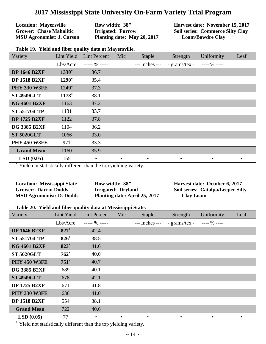**Location: Mayersville Grower: Chase Mahalitic MSU Agronomist: J. Carson**  **Row width: 38" Irrigated: Furrow Planting date: May 20, 2017**  **Harvest date: November 15, 2017 Soil series: Commerce Silty Clay Loam/Bowdre Clay**

| Variety             | Lint Yield        | <b>Lint Percent</b> | Mic       | <b>Staple</b>  | Strength      | Uniformity   | Leaf |
|---------------------|-------------------|---------------------|-----------|----------------|---------------|--------------|------|
|                     | Lbs/Acre          | $--- 96 ---$        |           | --- Inches --- | - grams/tex - | $--- 96 ---$ |      |
| <b>DP 1646 B2XF</b> | 1330 <sup>*</sup> | 36.7                |           |                |               |              |      |
| <b>DP 1518 B2XF</b> | 1290*             | 35.4                |           |                |               |              |      |
| <b>PHY 330 W3FE</b> | $1249*$           | 37.3                |           |                |               |              |      |
| <b>ST 4949GLT</b>   | 1178*             | 38.1                |           |                |               |              |      |
| <b>NG 4601 B2XF</b> | 1163              | 37.2                |           |                |               |              |      |
| <b>ST 5517GLTP</b>  | 1131              | 33.7                |           |                |               |              |      |
| <b>DP 1725 B2XF</b> | 1122              | 37.8                |           |                |               |              |      |
| <b>DG 3385 B2XF</b> | 1104              | 36.2                |           |                |               |              |      |
| <b>ST 5020GLT</b>   | 1066              | 33.0                |           |                |               |              |      |
| <b>PHY 450 W3FE</b> | 971               | 33.3                |           |                |               |              |      |
| <b>Grand Mean</b>   | 1160              | 35.9                |           |                |               |              |      |
| LSD(0.05)           | 155               | $\bullet$           | $\bullet$ | $\bullet$      | $\bullet$     | $\bullet$    |      |

**Table 19. Yield and fiber quality data at Mayersville.**

Yield not statistically different than the top yielding variety.

| <b>Location: Mississippi State</b> | Row width: 38"                | Harvest date: October 6, 2017            |
|------------------------------------|-------------------------------|------------------------------------------|
| <b>Grower: Darrin Dodds</b>        | Irrigated: Dryland            | <b>Soil series: Catalpa/Leeper Silty</b> |
| <b>MSU Agronomist: D. Dodds</b>    | Planting date: April 25, 2017 | <b>Clay Loam</b>                         |

#### **Table 20. Yield and fiber quality data at Mississippi State.**

| Variety             | Lint Yield | <b>Lint Percent</b> | Mic       | <b>Staple</b>  | Strength      | Uniformity   | Leaf      |
|---------------------|------------|---------------------|-----------|----------------|---------------|--------------|-----------|
|                     | Lbs/Acre   | $--- 90 ---$        |           | --- Inches --- | - grams/tex - | $--- 96 ---$ |           |
| <b>DP 1646 B2XF</b> | $827*$     | 42.4                |           |                |               |              |           |
| <b>ST 5517GLTP</b>  | 826*       | 38.5                |           |                |               |              |           |
| <b>NG 4601 B2XF</b> | 823*       | 41.6                |           |                |               |              |           |
| <b>ST 5020GLT</b>   | $762*$     | 40.0                |           |                |               |              |           |
| <b>PHY 450 W3FE</b> | $751^*$    | 40.7                |           |                |               |              |           |
| <b>DG 3385 B2XF</b> | 689        | 40.1                |           |                |               |              |           |
| <b>ST 4949GLT</b>   | 678        | 42.1                |           |                |               |              |           |
| <b>DP 1725 B2XF</b> | 671        | 41.8                |           |                |               |              |           |
| <b>PHY 330 W3FE</b> | 636        | 41.0                |           |                |               |              |           |
| <b>DP 1518 B2XF</b> | 554        | 38.1                |           |                |               |              |           |
| <b>Grand Mean</b>   | 722        | 40.6                |           |                |               |              |           |
| LSD(0.05)           | 77         | $\bullet$           | $\bullet$ | $\bullet$      |               | $\bullet$    | $\bullet$ |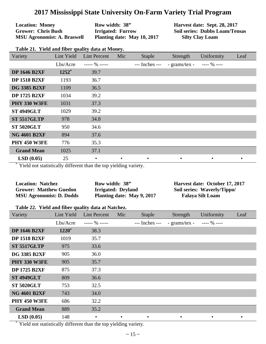**Location: Money Grower: Chris Bush MSU Agronomist: A. Braswell**  **Row width: 38" Irrigated: Furrow Planting date: May 10, 2017**  **Harvest date: Sept. 28, 2017 Soil series: Dubbs Loam/Tensas Silty Clay Loam**

| Table 21. Yield and fiber quality data at Money. |
|--------------------------------------------------|
|--------------------------------------------------|

| Variety             | Lint Yield | <b>Lint Percent</b> | Mic       | <b>Staple</b>  | Strength      | Uniformity   | Leaf |
|---------------------|------------|---------------------|-----------|----------------|---------------|--------------|------|
|                     | Lbs/Acre   | $--- 90$ -----      |           | --- Inches --- | - grams/tex - | $--- 96 ---$ |      |
| <b>DP 1646 B2XF</b> | $1252*$    | 39.7                |           |                |               |              |      |
| <b>DP 1518 B2XF</b> | 1193       | 36.7                |           |                |               |              |      |
| <b>DG 3385 B2XF</b> | 1109       | 36.5                |           |                |               |              |      |
| <b>DP 1725 B2XF</b> | 1034       | 39.2                |           |                |               |              |      |
| <b>PHY 330 W3FE</b> | 1031       | 37.3                |           |                |               |              |      |
| <b>ST 4949GLT</b>   | 1029       | 39.2                |           |                |               |              |      |
| <b>ST 5517GLTP</b>  | 978        | 34.8                |           |                |               |              |      |
| <b>ST 5020GLT</b>   | 950        | 34.6                |           |                |               |              |      |
| <b>NG 4601 B2XF</b> | 894        | 37.6                |           |                |               |              |      |
| <b>PHY 450 W3FE</b> | 776        | 35.3                |           |                |               |              |      |
| <b>Grand Mean</b>   | 1025       | 37.1                |           |                |               |              |      |
| LSD(0.05)           | 25         | $\bullet$           | $\bullet$ | $\bullet$      | $\bullet$     | $\bullet$    |      |

Yield not statistically different than the top yielding variety.

| <b>Location: Natchez</b>        | Row width: 38"             | Harvest date: October 17, 2017 |
|---------------------------------|----------------------------|--------------------------------|
| <b>Grower: Matthew Guedon</b>   | Irrigated: Dryland         | Soil series: Waverly/Tippo/    |
| <b>MSU Agronomist: D. Dodds</b> | Planting date: May 9, 2017 | <b>Falaya Silt Loam</b>        |

#### **Table 22. Yield and fiber quality data at Natchez.**

| Variety             | Lint Yield | <b>Lint Percent</b> | Mic       | <b>Staple</b>  | Strength      | <b>Uniformity</b> | Leaf      |
|---------------------|------------|---------------------|-----------|----------------|---------------|-------------------|-----------|
|                     | Lbs/Acre   | $--- 90 ---$        |           | --- Inches --- | - grams/tex - | $--- 96 ---$      |           |
| <b>DP 1646 B2XF</b> | $1220*$    | 38.3                |           |                |               |                   |           |
| <b>DP 1518 B2XF</b> | 1019       | 35.7                |           |                |               |                   |           |
| <b>ST 5517GLTP</b>  | 975        | 33.6                |           |                |               |                   |           |
| <b>DG 3385 B2XF</b> | 905        | 36.0                |           |                |               |                   |           |
| <b>PHY 330 W3FE</b> | 905        | 35.7                |           |                |               |                   |           |
| <b>DP 1725 B2XF</b> | 875        | 37.3                |           |                |               |                   |           |
| <b>ST 4949GLT</b>   | 809        | 36.6                |           |                |               |                   |           |
| <b>ST 5020GLT</b>   | 753        | 32.5                |           |                |               |                   |           |
| <b>NG 4601 B2XF</b> | 743        | 34.0                |           |                |               |                   |           |
| <b>PHY 450 W3FE</b> | 686        | 32.2                |           |                |               |                   |           |
| <b>Grand Mean</b>   | 889        | 35.2                |           |                |               |                   |           |
| LSD(0.05)           | 148        | $\bullet$           | $\bullet$ | $\bullet$      |               | $\bullet$         | $\bullet$ |